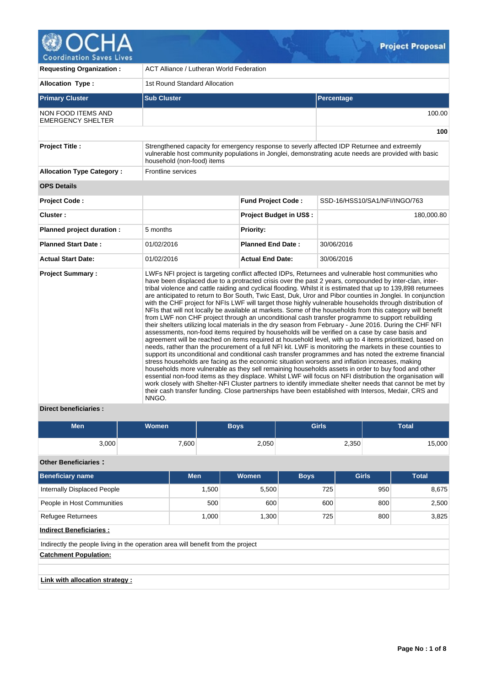

| <b>Requesting Organization:</b>                | <b>ACT Alliance / Lutheran World Federation</b> |                                |                                                                                                                                                                                                                                                                                                                                                                                                                                                                                                                                                                                                                                                                                                                                                                                                                                                                                                                                                                                                                                                                                                                                                                                                                                                                                                                                                                                                                                                                                                                                                                                                                                                                                                                                                                                                                                                                      |  |  |  |  |  |
|------------------------------------------------|-------------------------------------------------|--------------------------------|----------------------------------------------------------------------------------------------------------------------------------------------------------------------------------------------------------------------------------------------------------------------------------------------------------------------------------------------------------------------------------------------------------------------------------------------------------------------------------------------------------------------------------------------------------------------------------------------------------------------------------------------------------------------------------------------------------------------------------------------------------------------------------------------------------------------------------------------------------------------------------------------------------------------------------------------------------------------------------------------------------------------------------------------------------------------------------------------------------------------------------------------------------------------------------------------------------------------------------------------------------------------------------------------------------------------------------------------------------------------------------------------------------------------------------------------------------------------------------------------------------------------------------------------------------------------------------------------------------------------------------------------------------------------------------------------------------------------------------------------------------------------------------------------------------------------------------------------------------------------|--|--|--|--|--|
| <b>Allocation Type:</b>                        | 1st Round Standard Allocation                   |                                |                                                                                                                                                                                                                                                                                                                                                                                                                                                                                                                                                                                                                                                                                                                                                                                                                                                                                                                                                                                                                                                                                                                                                                                                                                                                                                                                                                                                                                                                                                                                                                                                                                                                                                                                                                                                                                                                      |  |  |  |  |  |
| <b>Primary Cluster</b>                         | <b>Sub Cluster</b>                              |                                | Percentage                                                                                                                                                                                                                                                                                                                                                                                                                                                                                                                                                                                                                                                                                                                                                                                                                                                                                                                                                                                                                                                                                                                                                                                                                                                                                                                                                                                                                                                                                                                                                                                                                                                                                                                                                                                                                                                           |  |  |  |  |  |
| NON FOOD ITEMS AND<br><b>EMERGENCY SHELTER</b> |                                                 |                                | 100.00                                                                                                                                                                                                                                                                                                                                                                                                                                                                                                                                                                                                                                                                                                                                                                                                                                                                                                                                                                                                                                                                                                                                                                                                                                                                                                                                                                                                                                                                                                                                                                                                                                                                                                                                                                                                                                                               |  |  |  |  |  |
|                                                |                                                 |                                | 100                                                                                                                                                                                                                                                                                                                                                                                                                                                                                                                                                                                                                                                                                                                                                                                                                                                                                                                                                                                                                                                                                                                                                                                                                                                                                                                                                                                                                                                                                                                                                                                                                                                                                                                                                                                                                                                                  |  |  |  |  |  |
| <b>Project Title:</b>                          | household (non-food) items                      |                                | Strengthened capacity for emergency response to severly affected IDP Returnee and extreemly<br>vulnerable host community populations in Jonglei, demonstrating acute needs are provided with basic                                                                                                                                                                                                                                                                                                                                                                                                                                                                                                                                                                                                                                                                                                                                                                                                                                                                                                                                                                                                                                                                                                                                                                                                                                                                                                                                                                                                                                                                                                                                                                                                                                                                   |  |  |  |  |  |
| <b>Allocation Type Category:</b>               | Frontline services                              |                                |                                                                                                                                                                                                                                                                                                                                                                                                                                                                                                                                                                                                                                                                                                                                                                                                                                                                                                                                                                                                                                                                                                                                                                                                                                                                                                                                                                                                                                                                                                                                                                                                                                                                                                                                                                                                                                                                      |  |  |  |  |  |
| <b>OPS Details</b>                             |                                                 |                                |                                                                                                                                                                                                                                                                                                                                                                                                                                                                                                                                                                                                                                                                                                                                                                                                                                                                                                                                                                                                                                                                                                                                                                                                                                                                                                                                                                                                                                                                                                                                                                                                                                                                                                                                                                                                                                                                      |  |  |  |  |  |
| <b>Project Code:</b>                           |                                                 | <b>Fund Project Code:</b>      | SSD-16/HSS10/SA1/NFI/INGO/763                                                                                                                                                                                                                                                                                                                                                                                                                                                                                                                                                                                                                                                                                                                                                                                                                                                                                                                                                                                                                                                                                                                                                                                                                                                                                                                                                                                                                                                                                                                                                                                                                                                                                                                                                                                                                                        |  |  |  |  |  |
| Cluster:                                       |                                                 | <b>Project Budget in US\$:</b> | 180,000.80                                                                                                                                                                                                                                                                                                                                                                                                                                                                                                                                                                                                                                                                                                                                                                                                                                                                                                                                                                                                                                                                                                                                                                                                                                                                                                                                                                                                                                                                                                                                                                                                                                                                                                                                                                                                                                                           |  |  |  |  |  |
| Planned project duration :                     | 5 months                                        | <b>Priority:</b>               |                                                                                                                                                                                                                                                                                                                                                                                                                                                                                                                                                                                                                                                                                                                                                                                                                                                                                                                                                                                                                                                                                                                                                                                                                                                                                                                                                                                                                                                                                                                                                                                                                                                                                                                                                                                                                                                                      |  |  |  |  |  |
| <b>Planned Start Date:</b>                     | 01/02/2016                                      | <b>Planned End Date:</b>       | 30/06/2016                                                                                                                                                                                                                                                                                                                                                                                                                                                                                                                                                                                                                                                                                                                                                                                                                                                                                                                                                                                                                                                                                                                                                                                                                                                                                                                                                                                                                                                                                                                                                                                                                                                                                                                                                                                                                                                           |  |  |  |  |  |
| <b>Actual Start Date:</b>                      | 01/02/2016                                      | <b>Actual End Date:</b>        | 30/06/2016                                                                                                                                                                                                                                                                                                                                                                                                                                                                                                                                                                                                                                                                                                                                                                                                                                                                                                                                                                                                                                                                                                                                                                                                                                                                                                                                                                                                                                                                                                                                                                                                                                                                                                                                                                                                                                                           |  |  |  |  |  |
| <b>Project Summary:</b>                        | NNGO.                                           |                                | LWFs NFI project is targeting conflict affected IDPs, Returnees and vulnerable host communities who<br>have been displaced due to a protracted crisis over the past 2 years, compounded by inter-clan, inter-<br>tribal violence and cattle raiding and cyclical flooding. Whilst it is estimated that up to 139,898 returnees<br>are anticipated to return to Bor South, Twic East, Duk, Uror and Pibor counties in Jonglei. In conjunction<br>with the CHF project for NFIs LWF will target those highly vulnerable households through distribution of<br>NFIs that will not locally be available at markets. Some of the households from this category will benefit<br>from LWF non CHF project through an unconditional cash transfer programme to support rebuilding<br>their shelters utilizing local materials in the dry season from February - June 2016. During the CHF NFI<br>assessments, non-food items required by households will be verified on a case by case basis and<br>agreement will be reached on items required at household level, with up to 4 items prioritized, based on<br>needs, rather than the procurement of a full NFI kit. LWF is monitoring the markets in these counties to<br>support its unconditional and conditional cash transfer programmes and has noted the extreme financial<br>stress households are facing as the economic situation worsens and inflation increases, making<br>households more vulnerable as they sell remaining households assets in order to buy food and other<br>essential non-food items as they displace. Whilst LWF will focus on NFI distribution the organisation will<br>work closely with Shelter-NFI Cluster partners to identify immediate shelter needs that cannot be met by<br>their cash transfer funding. Close partnerships have been established with Intersos, Medair, CRS and |  |  |  |  |  |

# **Direct beneficiaries :**

| <b>Men</b> | <b>Women</b> | <b>Boys</b> | <b>Girls</b> | Total  |  |  |
|------------|--------------|-------------|--------------|--------|--|--|
| 3,000      | 7,600        | 2,050       | 2,350        | 15,000 |  |  |

# **Other Beneficiaries :**

| Beneficiary name                                                                 | <b>Men</b> | Women | <b>Boys</b> | <b>Girls</b> | <b>Total</b> |  |  |  |  |  |  |
|----------------------------------------------------------------------------------|------------|-------|-------------|--------------|--------------|--|--|--|--|--|--|
| Internally Displaced People                                                      | 1,500      | 5,500 | 725         | 950          | 8,675        |  |  |  |  |  |  |
| People in Host Communities                                                       | 500        | 600   | 600         | 800          | 2,500        |  |  |  |  |  |  |
| <b>Refugee Returnees</b>                                                         | 1.000      | 1,300 | 725         | 800          | 3,825        |  |  |  |  |  |  |
| <b>Indirect Beneficiaries:</b>                                                   |            |       |             |              |              |  |  |  |  |  |  |
| Indirectly the people living in the operation area will benefit from the project |            |       |             |              |              |  |  |  |  |  |  |
| <b>Catchment Population:</b>                                                     |            |       |             |              |              |  |  |  |  |  |  |
|                                                                                  |            |       |             |              |              |  |  |  |  |  |  |
| Link with allocation strategy :                                                  |            |       |             |              |              |  |  |  |  |  |  |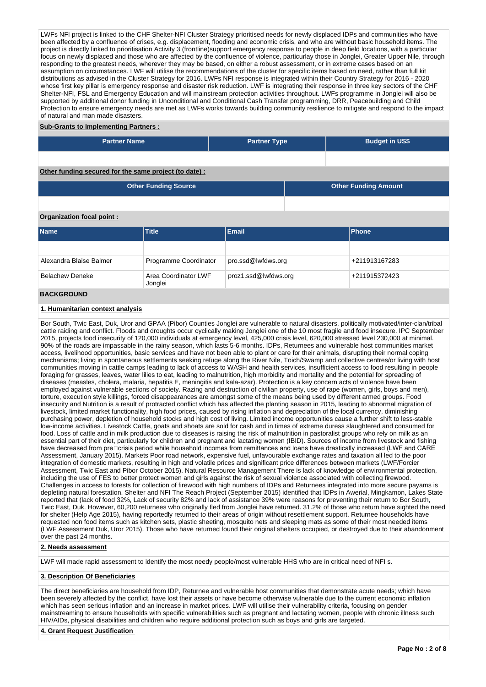LWFs NFI project is linked to the CHF Shelter-NFI Cluster Strategy prioritised needs for newly displaced IDPs and communities who have been affected by a confluence of crises, e.g. displacement, flooding and economic crisis, and who are without basic household items. The project is directly linked to prioritisation Activity 3 (frontline)support emergency response to people in deep field locations, with a particular focus on newly displaced and those who are affected by the confluence of violence, particurlay those in Jonglei, Greater Upper Nile, through responding to the greatest needs, wherever they may be based, on either a robust assessment, or in extreme cases based on an assumption on circumstances. LWF will utilise the recommendations of the cluster for specific items based on need, rather than full kit distributions as advised in the Cluster Strategy for 2016. LWFs NFI response is integrated within their Country Strategy for 2016 - 2020 whose first key pillar is emergency response and disaster risk reduction. LWF is integrating their response in three key sectors of the CHF Shelter-NFI, FSL and Emergency Education and will mainstream protection activities throughout. LWFs programme in Jonglei will also be supported by additional donor funding in Unconditional and Conditional Cash Transfer programming, DRR, Peacebuilding and Child Protection to ensure emergency needs are met as LWFs works towards building community resilience to mitigate and respond to the impact of natural and man made disasters.

## **Sub-Grants to Implementing Partners :**

| <b>Partner Name</b> | <b>Partner Type</b> | <b>Budget in US\$</b> |  |  |  |  |  |
|---------------------|---------------------|-----------------------|--|--|--|--|--|
|                     |                     |                       |  |  |  |  |  |

## **Other funding secured for the same project (to date) :**

| <b>Other Funding Source</b> | <b>Other Funding Amount</b> |
|-----------------------------|-----------------------------|
|                             |                             |

## **Organization focal point :**

| <b>Name</b>             | <b>Title</b>                    | Email                | Phone         |
|-------------------------|---------------------------------|----------------------|---------------|
|                         |                                 |                      |               |
| Alexandra Blaise Balmer | Programme Coordinator           | pro.ssd@lwfdws.org   | +211913167283 |
| <b>Belachew Deneke</b>  | Area Coordinator LWF<br>Jonglei | proz1.ssd@lwfdws.org | +211915372423 |
| <b>BACKGROUND</b>       |                                 |                      |               |

# **1. Humanitarian context analysis**

Bor South, Twic East, Duk, Uror and GPAA (Pibor) Counties Jonglei are vulnerable to natural disasters, politically motivated/inter-clan/tribal cattle raiding and conflict. Floods and droughts occur cyclically making Jonglei one of the 10 most fragile and food insecure. IPC September 2015, projects food insecurity of 120,000 individuals at emergency level, 425,000 crisis level, 620,000 stressed level 230,000 at minimal. 90% of the roads are impassable in the rainy season, which lasts 5-6 months. IDPs, Returnees and vulnerable host communities market access, livelihood opportunities, basic services and have not been able to plant or care for their animals, disrupting their normal coping mechanisms; living in spontaneous settlements seeking refuge along the River Nile, Toich/Swamp and collective centres/or living with host communities moving in cattle camps leading to lack of access to WASH and health services, insufficient access to food resulting in people foraging for grasses, leaves, water lilies to eat, leading to malnutrition, high morbidity and mortality and the potential for spreading of diseases (measles, cholera, malaria, hepatitis E, meningitis and kala-azar). Protection is a key concern acts of violence have been employed against vulnerable sections of society. Razing and destruction of civilian property, use of rape (women, girls, boys and men), torture, execution style killings, forced disappearances are amongst some of the means being used by different armed groups. Food insecurity and Nutrition is a result of protracted conflict which has affected the planting season in 2015, leading to abnormal migration of livestock, limited market functionality, high food prices, caused by rising inflation and depreciation of the local currency, diminishing purchasing power, depletion of household stocks and high cost of living. Limited income opportunities cause a further shift to less-stable low-income activities. Livestock Cattle, goats and shoats are sold for cash and in times of extreme duress slaughtered and consumed for food. Loss of cattle and in milk production due to diseases is raising the risk of malnutrition in pastoralist groups who rely on milk as an essential part of their diet, particularly for children and pregnant and lactating women (IBID). Sources of income from livestock and fishing have decreased from pre $\square$ crisis period while household incomes from remittances and loans have drastically increased (LWF and CARE Assessment, January 2015). Markets Poor road network, expensive fuel, unfavourable exchange rates and taxation all led to the poor integration of domestic markets, resulting in high and volatile prices and significant price differences between markets (LWF/Forcier Assessment, Twic East and Pibor October 2015). Natural Resource Management There is lack of knowledge of environmental protection, including the use of FES to better protect women and girls against the risk of sexual violence associated with collecting firewood. Challenges in access to forests for collection of firewood with high numbers of IDPs and Returnees integrated into more secure payams is depleting natural forestation. Shelter and NFI The Reach Project (September 2015) identified that IDPs in Awerial, Mingkamon, Lakes State reported that (lack of food 32%, Lack of security 82% and lack of assistance 39% were reasons for preventing their return to Bor South, Twic East, Duk. However, 60,200 returnees who originally fled from Jonglei have returned. 31.2% of those who return have sighted the need for shelter (Help Age 2015), having reportedly returned to their areas of origin without resettlement support. Returnee households have requested non food items such as kitchen sets, plastic sheeting, mosquito nets and sleeping mats as some of their most needed items (LWF Assessment Duk, Uror 2015). Those who have returned found their original shelters occupied, or destroyed due to their abandonment over the past 24 months.

#### **2. Needs assessment**

LWF will made rapid assessment to identify the most needy people/most vulnerable HHS who are in critical need of NFI s.

#### **3. Description Of Beneficiaries**

The direct beneficiaries are household from IDP, Returnee and vulnerable host communities that demonstrate acute needs; which have been severely affected by the conflict, have lost their assets or have become otherwise vulnerable due to the current economic inflation which has seen serious inflation and an increase in market prices. LWF will utilise their vulnerability criteria, focusing on gender mainstreaming to ensure households with specific vulnerabilities such as pregnant and lactating women, people with chronic illness such HIV/AIDs, physical disabilities and children who require additional protection such as boys and girls are targeted.

#### **4. Grant Request Justification**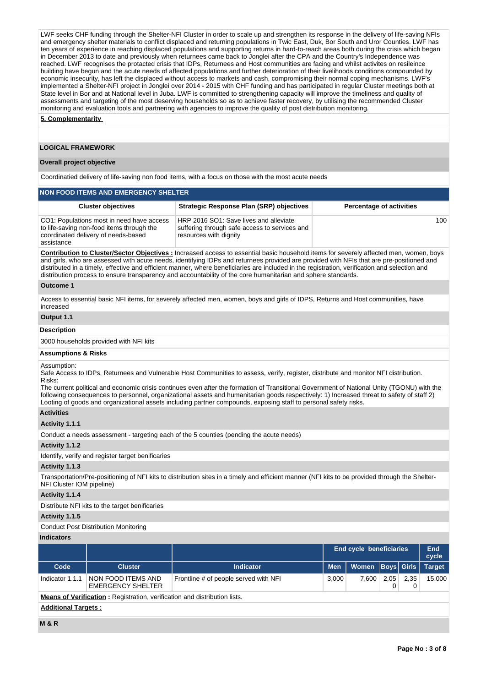LWF seeks CHF funding through the Shelter-NFI Cluster in order to scale up and strengthen its response in the delivery of life-saving NFIs and emergency shelter materials to conflict displaced and returning populations in Twic East, Duk, Bor South and Uror Counties. LWF has ten years of experience in reaching displaced populations and supporting returns in hard-to-reach areas both during the crisis which began in December 2013 to date and previously when returnees came back to Jonglei after the CPA and the Country's Independence was reached. LWF recognises the protacted crisis that IDPs, Returnees and Host communities are facing and whilst activites on resileince building have begun and the acute needs of affected populations and further deterioration of their livelihoods conditions compounded by economic insecurity, has left the displaced without access to markets and cash, compromising their normal coping mechanisms. LWF's implemented a Shelter-NFI project in Jonglei over 2014 - 2015 with CHF funding and has participated in regular Cluster meetings both at State level in Bor and at National level in Juba. LWF is committed to strengthening capacity will improve the timeliness and quality of assessments and targeting of the most deserving households so as to achieve faster recovery, by utilising the recommended Cluster monitoring and evaluation tools and partnering with agencies to improve the quality of post distribution monitoring.

#### **5. Complementarity**

### **LOGICAL FRAMEWORK**

#### **Overall project objective**

Coordinatied delivery of life-saving non food items, with a focus on those with the most acute needs

| <b>NON FOOD ITEMS AND EMERGENCY SHELTER</b>                                                                                                 |                                                                                                                   |                                 |  |  |  |  |  |  |
|---------------------------------------------------------------------------------------------------------------------------------------------|-------------------------------------------------------------------------------------------------------------------|---------------------------------|--|--|--|--|--|--|
| <b>Cluster objectives</b>                                                                                                                   | <b>Strategic Response Plan (SRP) objectives</b>                                                                   | <b>Percentage of activities</b> |  |  |  |  |  |  |
| CO1: Populations most in need have access<br>to life-saving non-food items through the<br>coordinated delivery of needs-based<br>assistance | HRP 2016 SO1: Save lives and alleviate<br>suffering through safe access to services and<br>resources with dignity | 100                             |  |  |  |  |  |  |

**Contribution to Cluster/Sector Objectives :** Increased access to essential basic household items for severely affected men, women, boys and girls, who are assessed with acute needs, identifying IDPs and returnees provided are provided with NFIs that are pre-positioned and distributed in a timely, effective and efficient manner, where beneficiaries are included in the registration, verification and selection and distribution process to ensure transparency and accountability of the core humanitarian and sphere standards.

#### **Outcome 1**

Access to essential basic NFI items, for severely affected men, women, boys and girls of IDPS, Returns and Host communities, have increased

# **Output 1.1**

## **Description**

3000 households provided with NFI kits

#### **Assumptions & Risks**

#### Assumption:

Safe Access to IDPs, Returnees and Vulnerable Host Communities to assess, verify, register, distribute and monitor NFI distribution. Risks:

The current political and economic crisis continues even after the formation of Transitional Government of National Unity (TGONU) with the following consequences to personnel, organizational assets and humanitarian goods respectively: 1) Increased threat to safety of staff 2) Looting of goods and organizational assets including partner compounds, exposing staff to personal safety risks.

#### **Activities**

### **Activity 1.1.1**

Conduct a needs assessment - targeting each of the 5 counties (pending the acute needs)

#### **Activity 1.1.2**

Identify, verify and register target benificaries

#### **Activity 1.1.3**

Transportation/Pre-positioning of NFI kits to distribution sites in a timely and efficient manner (NFI kits to be provided through the Shelter-NFI Cluster IOM pipeline)

#### **Activity 1.1.4**

Distribute NFI kits to the target benificaries

## **Activity 1.1.5**

#### Conduct Post Distribution Monitoring

## **Indicators**

|                                                                                  |                                                |                                       | <b>End cycle beneficiaries</b> |              |                | End<br>cycle |               |  |  |  |
|----------------------------------------------------------------------------------|------------------------------------------------|---------------------------------------|--------------------------------|--------------|----------------|--------------|---------------|--|--|--|
| Code                                                                             | <b>Cluster</b>                                 | <b>Indicator</b>                      | <b>Men</b>                     | <b>Women</b> | ∣ Boys Girls ∣ |              | <b>Target</b> |  |  |  |
| Indicator 1.1.1                                                                  | NON FOOD ITEMS AND<br><b>EMERGENCY SHELTER</b> | Frontline # of people served with NFI | 3,000                          | 7,600        | 2,05           | 2,35         | 15.000        |  |  |  |
| <b>Means of Verification:</b> Registration, verification and distribution lists. |                                                |                                       |                                |              |                |              |               |  |  |  |
| <b>Additional Targets:</b>                                                       |                                                |                                       |                                |              |                |              |               |  |  |  |
| M&R                                                                              |                                                |                                       |                                |              |                |              |               |  |  |  |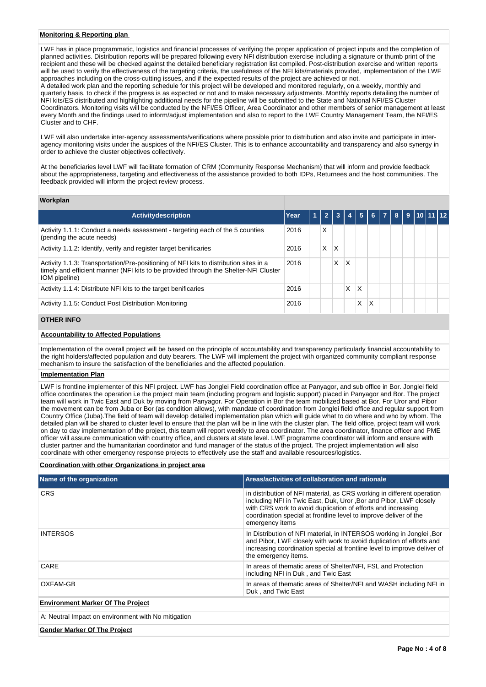#### **Monitoring & Reporting plan**

LWF has in place programmatic, logistics and financial processes of verifying the proper application of project inputs and the completion of planned activities. Distribution reports will be prepared following every NFI distribution exercise including a signature or thumb print of the recipient and these will be checked against the detailed beneficiary registration list compiled. Post-distribution exercise and written reports will be used to verify the effectiveness of the targeting criteria, the usefulness of the NFI kits/materials provided, implementation of the LWF approaches including on the cross-cutting issues, and if the expected results of the project are achieved or not.

A detailed work plan and the reporting schedule for this project will be developed and monitored regularly, on a weekly, monthly and quarterly basis, to check if the progress is as expected or not and to make necessary adjustments. Monthly reports detailing the number of NFI kits/ES distributed and highlighting additional needs for the pipeline will be submitted to the State and National NFI/ES Cluster Coordinators. Monitoring visits will be conducted by the NFI/ES Officer, Area Coordinator and other members of senior management at least every Month and the findings used to inform/adjust implementation and also to report to the LWF Country Management Team, the NFI/ES Cluster and to CHF.

LWF will also undertake inter-agency assessments/verifications where possible prior to distribution and also invite and participate in interagency monitoring visits under the auspices of the NFI/ES Cluster. This is to enhance accountability and transparency and also synergy in order to achieve the cluster objectives collectively.

At the beneficiaries level LWF will facilitate formation of CRM (Community Response Mechanism) that will inform and provide feedback about the appropriateness, targeting and effectiveness of the assistance provided to both IDPs, Returnees and the host communities. The feedback provided will inform the project review process.

#### **Workplan**

| <b>Activitydescription</b>                                                                                                                                                                     | Year |   |   |   | 5 | 6 <sup>1</sup> | $\overline{7}$ | 8 <sup>1</sup> |  | 9 10 11 12 |
|------------------------------------------------------------------------------------------------------------------------------------------------------------------------------------------------|------|---|---|---|---|----------------|----------------|----------------|--|------------|
| Activity 1.1.1: Conduct a needs assessment - targeting each of the 5 counties<br>(pending the acute needs)                                                                                     | 2016 | X |   |   |   |                |                |                |  |            |
| Activity 1.1.2: Identify, verify and register target benificaries                                                                                                                              | 2016 | X | x |   |   |                |                |                |  |            |
| Activity 1.1.3: Transportation/Pre-positioning of NFI kits to distribution sites in a<br>timely and efficient manner (NFI kits to be provided through the Shelter-NFI Cluster<br>IOM pipeline) | 2016 |   | X | Χ |   |                |                |                |  |            |
| Activity 1.1.4: Distribute NFI kits to the target benificaries                                                                                                                                 | 2016 |   |   | X | Χ |                |                |                |  |            |
| Activity 1.1.5: Conduct Post Distribution Monitoring                                                                                                                                           | 2016 |   |   |   | X | X              |                |                |  |            |

## **OTHER INFO**

## **Accountability to Affected Populations**

Implementation of the overall project will be based on the principle of accountability and transparency particularly financial accountability to the right holders/affected population and duty bearers. The LWF will implement the project with organized community compliant response mechanism to insure the satisfaction of the beneficiaries and the affected population.

#### **Implementation Plan**

LWF is frontline implementer of this NFI project. LWF has Jonglei Field coordination office at Panyagor, and sub office in Bor. Jonglei field office coordinates the operation i.e the project main team (including program and logistic support) placed in Panyagor and Bor. The project team will work in Twic East and Duk by moving from Panyagor. For Operation in Bor the team mobilized based at Bor. For Uror and Pibor the movement can be from Juba or Bor (as condition allows), with mandate of coordination from Jonglei field office and regular support from Country Office (Juba).The field of team will develop detailed implementation plan which will guide what to do where and who by whom. The detailed plan will be shared to cluster level to ensure that the plan will be in line with the cluster plan. The field office, project team will work on day to day implementation of the project, this team will report weekly to area coordinator. The area coordinator, finance officer and PME officer will assure communication with country office, and clusters at state level. LWF programme coordinator will inform and ensure with cluster partner and the humanitarian coordinator and fund manager of the status of the project. The project implementation will also coordinate with other emergency response projects to effectively use the staff and available resources/logistics.

#### **Coordination with other Organizations in project area**

| Name of the organization                            | Areas/activities of collaboration and rationale                                                                                                                                                                                                                                                     |
|-----------------------------------------------------|-----------------------------------------------------------------------------------------------------------------------------------------------------------------------------------------------------------------------------------------------------------------------------------------------------|
| <b>CRS</b>                                          | in distribution of NFI material, as CRS working in different operation<br>including NFI in Twic East, Duk, Uror, Bor and Pibor, LWF closely<br>with CRS work to avoid duplication of efforts and increasing<br>coordination special at frontline level to improve deliver of the<br>emergency items |
| <b>INTERSOS</b>                                     | In Distribution of NFI material, in INTERSOS working in Jonglei, Bor<br>and Pibor, LWF closely with work to avoid duplication of efforts and<br>increasing coordination special at frontline level to improve deliver of<br>the emergency items.                                                    |
| CARE                                                | In areas of thematic areas of Shelter/NFI, FSL and Protection<br>including NFI in Duk, and Twic East                                                                                                                                                                                                |
| OXFAM-GB                                            | In areas of thematic areas of Shelter/NFI and WASH including NFI in<br>Duk, and Twic East                                                                                                                                                                                                           |
| <b>Environment Marker Of The Project</b>            |                                                                                                                                                                                                                                                                                                     |
| A: Neutral Impact on environment with No mitigation |                                                                                                                                                                                                                                                                                                     |
| <b>Gender Marker Of The Project</b>                 |                                                                                                                                                                                                                                                                                                     |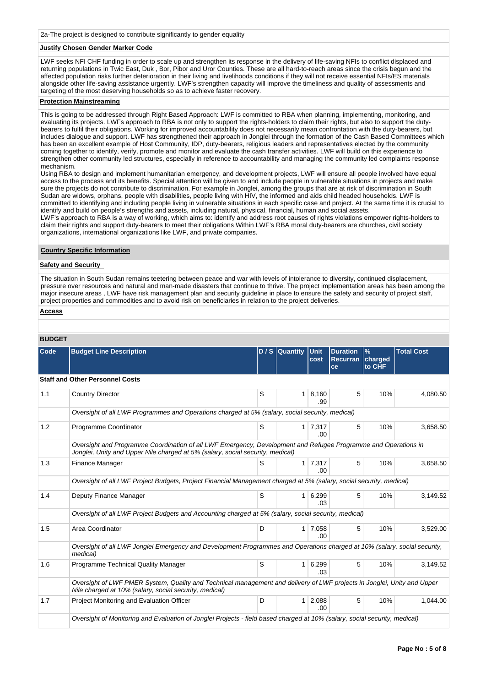## **Justify Chosen Gender Marker Code**

LWF seeks NFI CHF funding in order to scale up and strengthen its response in the delivery of life-saving NFIs to conflict displaced and returning populations in Twic East, Duk , Bor, Pibor and Uror Counties. These are all hard-to-reach areas since the crisis begun and the affected population risks further deterioration in their living and livelihoods conditions if they will not receive essential NFIs/ES materials alongside other life-saving assistance urgently. LWF's strengthen capacity will improve the timeliness and quality of assessments and targeting of the most deserving households so as to achieve faster recovery.

#### **Protection Mainstreaming**

This is going to be addressed through Right Based Approach: LWF is committed to RBA when planning, implementing, monitoring, and evaluating its projects. LWFs approach to RBA is not only to support the rights-holders to claim their rights, but also to support the dutybearers to fulfil their obligations. Working for improved accountability does not necessarily mean confrontation with the duty-bearers, but includes dialogue and support. LWF has strengthened their approach in Jonglei through the formation of the Cash Based Committees which has been an excellent example of Host Community, IDP, duty-bearers, religious leaders and representatives elected by the community coming together to identify, verify, promote and monitor and evaluate the cash transfer activities. LWF will build on this experience to strengthen other community led structures, especially in reference to accountability and managing the community led complaints response mechanism.

Using RBA to design and implement humanitarian emergency, and development projects, LWF will ensure all people involved have equal access to the process and its benefits. Special attention will be given to and include people in vulnerable situations in projects and make sure the projects do not contribute to discrimination. For example in Jonglei, among the groups that are at risk of discrimination in South Sudan are widows, orphans, people with disabilities, people living with HIV, the informed and aids child headed households. LWF is committed to identifying and including people living in vulnerable situations in each specific case and project. At the same time it is crucial to identify and build on people's strengths and assets, including natural, physical, financial, human and social assets.

LWF's approach to RBA is a way of working, which aims to: identify and address root causes of rights violations empower rights-holders to claim their rights and support duty-bearers to meet their obligations Within LWF's RBA moral duty-bearers are churches, civil society organizations, international organizations like LWF, and private companies.

#### **Country Specific Information**

## **Safety and Security**

The situation in South Sudan remains teetering between peace and war with levels of intolerance to diversity, continued displacement, pressure over resources and natural and man-made disasters that continue to thrive. The project implementation areas has been among the major insecure areas , LWF have risk management plan and security guideline in place to ensure the safety and security of project staff, project properties and commodities and to avoid risk on beneficiaries in relation to the project deliveries.

#### **Access**

# **BUDGET**

| Code | <b>Budget Line Description</b>                                                                                                                                                                   |   | D / S Quantity | <b>Unit</b><br>cost | <b>Duration</b><br><b>Recurran</b><br>ce | $\%$<br>charged<br>to CHF | <b>Total Cost</b> |  |  |  |  |
|------|--------------------------------------------------------------------------------------------------------------------------------------------------------------------------------------------------|---|----------------|---------------------|------------------------------------------|---------------------------|-------------------|--|--|--|--|
|      | <b>Staff and Other Personnel Costs</b>                                                                                                                                                           |   |                |                     |                                          |                           |                   |  |  |  |  |
| 1.1  | <b>Country Director</b>                                                                                                                                                                          | S | 1              | 8,160<br>.99        | 5                                        | 10%                       | 4,080.50          |  |  |  |  |
|      | Oversight of all LWF Programmes and Operations charged at 5% (salary, social security, medical)                                                                                                  |   |                |                     |                                          |                           |                   |  |  |  |  |
| 1.2  | Programme Coordinator                                                                                                                                                                            | S | $\mathbf{1}$   | 7,317<br>.00        | 5                                        | 10%                       | 3,658.50          |  |  |  |  |
|      | Oversight and Programme Coordination of all LWF Emergency, Development and Refugee Programme and Operations in<br>Jonglei, Unity and Upper Nile charged at 5% (salary, social security, medical) |   |                |                     |                                          |                           |                   |  |  |  |  |
| 1.3  | Finance Manager                                                                                                                                                                                  | S | $\mathbf{1}$   | 7,317<br>.00.       | 5                                        | 10%                       | 3,658.50          |  |  |  |  |
|      | Oversight of all LWF Project Budgets, Project Financial Management charged at 5% (salary, social security, medical)                                                                              |   |                |                     |                                          |                           |                   |  |  |  |  |
| 1.4  | Deputy Finance Manager                                                                                                                                                                           | S | 1              | 6,299<br>.03        | 5                                        | 10%                       | 3,149.52          |  |  |  |  |
|      | Oversight of all LWF Project Budgets and Accounting charged at 5% (salary, social security, medical)                                                                                             |   |                |                     |                                          |                           |                   |  |  |  |  |
| 1.5  | Area Coordinator                                                                                                                                                                                 | D | 1 <sup>1</sup> | 7,058<br>.00        | 5                                        | 10%                       | 3,529.00          |  |  |  |  |
|      | Oversight of all LWF Jonglei Emergency and Development Programmes and Operations charged at 10% (salary, social security,<br>medical)                                                            |   |                |                     |                                          |                           |                   |  |  |  |  |
| 1.6  | Programme Technical Quality Manager                                                                                                                                                              | S | $\mathbf{1}$   | 6,299<br>.03        | 5                                        | 10%                       | 3,149.52          |  |  |  |  |
|      | Oversight of LWF PMER System, Quality and Technical management and delivery of LWF projects in Jonglei, Unity and Upper<br>Nile charged at 10% (salary, social security, medical)                |   |                |                     |                                          |                           |                   |  |  |  |  |
| 1.7  | Project Monitoring and Evaluation Officer                                                                                                                                                        | D | $\mathbf{1}$   | 2,088<br>.00        | 5                                        | 10%                       | 1,044.00          |  |  |  |  |
|      | Oversight of Monitoring and Evaluation of Jonglei Projects - field based charged at 10% (salary, social security, medical)                                                                       |   |                |                     |                                          |                           |                   |  |  |  |  |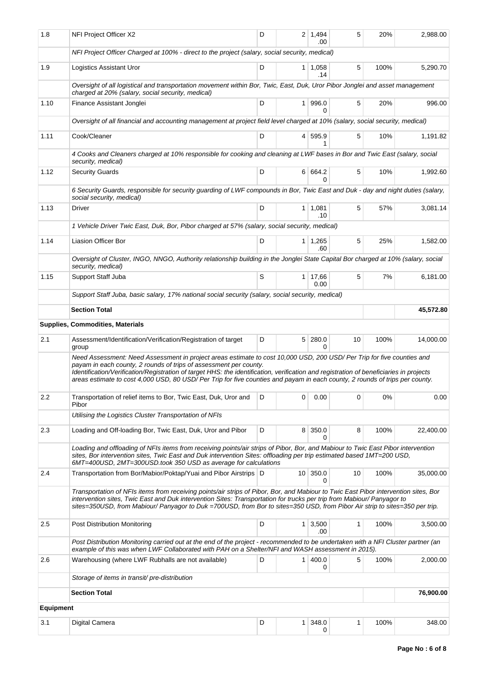| 1.8              | NFI Project Officer X2                                                                                                                                                                                                                                                                                                                                                                                                                                                | D |   | $2 \mid 1.494$<br>.00  | 5            | 20%  | 2,988.00  |
|------------------|-----------------------------------------------------------------------------------------------------------------------------------------------------------------------------------------------------------------------------------------------------------------------------------------------------------------------------------------------------------------------------------------------------------------------------------------------------------------------|---|---|------------------------|--------------|------|-----------|
|                  | NFI Project Officer Charged at 100% - direct to the project (salary, social security, medical)                                                                                                                                                                                                                                                                                                                                                                        |   |   |                        |              |      |           |
| 1.9              | <b>Logistics Assistant Uror</b>                                                                                                                                                                                                                                                                                                                                                                                                                                       | D |   | $1 \quad 1,058$<br>.14 | 5            | 100% | 5,290.70  |
|                  | Oversight of all logistical and transportation movement within Bor, Twic, East, Duk, Uror Pibor Jonglei and asset management<br>charged at 20% (salary, social security, medical)                                                                                                                                                                                                                                                                                     |   |   |                        |              |      |           |
| 1.10             | Finance Assistant Jonglei                                                                                                                                                                                                                                                                                                                                                                                                                                             | D |   | 1 996.0<br>$\Omega$    | 5            | 20%  | 996.00    |
|                  | Oversight of all financial and accounting management at project field level charged at 10% (salary, social security, medical)                                                                                                                                                                                                                                                                                                                                         |   |   |                        |              |      |           |
| 1.11             | Cook/Cleaner                                                                                                                                                                                                                                                                                                                                                                                                                                                          | D |   | 4 595.9                | 5            | 10%  | 1,191.82  |
|                  | 4 Cooks and Cleaners charged at 10% responsible for cooking and cleaning at LWF bases in Bor and Twic East (salary, social<br>security, medical)                                                                                                                                                                                                                                                                                                                      |   |   |                        |              |      |           |
| 1.12             | <b>Security Guards</b>                                                                                                                                                                                                                                                                                                                                                                                                                                                | D |   | 6 664.2<br>$\Omega$    | 5            | 10%  | 1,992.60  |
|                  | 6 Security Guards, responsible for security guarding of LWF compounds in Bor, Twic East and Duk - day and night duties (salary,<br>social security, medical)                                                                                                                                                                                                                                                                                                          |   |   |                        |              |      |           |
| 1.13             | <b>Driver</b>                                                                                                                                                                                                                                                                                                                                                                                                                                                         | D |   | $1 \mid 1,081$<br>.10  | 5            | 57%  | 3.081.14  |
|                  | 1 Vehicle Driver Twic East, Duk, Bor, Pibor charged at 57% (salary, social security, medical)                                                                                                                                                                                                                                                                                                                                                                         |   |   |                        |              |      |           |
| 1.14             | Liasion Officer Bor                                                                                                                                                                                                                                                                                                                                                                                                                                                   | D |   | $1 \mid 1,265$<br>.60  | 5            | 25%  | 1,582.00  |
|                  | Oversight of Cluster, INGO, NNGO, Authority relationship building in the Jonglei State Capital Bor charged at 10% (salary, social<br>security, medical)                                                                                                                                                                                                                                                                                                               |   |   |                        |              |      |           |
| 1.15             | Support Staff Juba                                                                                                                                                                                                                                                                                                                                                                                                                                                    | S |   | 1 17,66<br>0.00        | 5            | 7%   | 6,181.00  |
|                  | Support Staff Juba, basic salary, 17% national social security (salary, social security, medical)                                                                                                                                                                                                                                                                                                                                                                     |   |   |                        |              |      |           |
|                  | <b>Section Total</b>                                                                                                                                                                                                                                                                                                                                                                                                                                                  |   |   |                        |              |      | 45,572.80 |
|                  | <b>Supplies, Commodities, Materials</b>                                                                                                                                                                                                                                                                                                                                                                                                                               |   |   |                        |              |      |           |
| 2.1              | Assessment/Identification/Verification/Registration of target<br>group                                                                                                                                                                                                                                                                                                                                                                                                | D |   | 5 280.0<br>0           | 10           | 100% | 14,000.00 |
|                  | Need Assessment: Need Assessment in project areas estimate to cost 10,000 USD, 200 USD/ Per Trip for five counties and<br>payam in each county, 2 rounds of trips of assessment per county.<br>Identification/Verification/Registration of target HHS: the identification, verification and registration of beneficiaries in projects<br>areas estimate to cost 4,000 USD, 80 USD/ Per Trip for five counties and payam in each county, 2 rounds of trips per county. |   |   |                        |              |      |           |
| 2.2              | Transportation of relief items to Bor, Twic East, Duk, Uror and<br>Pibor                                                                                                                                                                                                                                                                                                                                                                                              | D | 0 | 0.00                   | 0            | 0%   | 0.00      |
|                  | Utilising the Logistics Cluster Transportation of NFIs                                                                                                                                                                                                                                                                                                                                                                                                                |   |   |                        |              |      |           |
| 2.3              | Loading and Off-loading Bor, Twic East, Duk, Uror and Pibor                                                                                                                                                                                                                                                                                                                                                                                                           | D |   | 8 350.0<br>0           | 8            | 100% | 22,400.00 |
|                  | Loading and offloading of NFIs items from receiving points/air strips of Pibor, Bor, and Mabiour to Twic East Pibor intervention<br>sites, Bor intervention sites, Twic East and Duk intervention Sites: offloading per trip estimated based 1MT=200 USD,<br>6MT=400USD, 2MT=300USD.took 350 USD as average for calculations                                                                                                                                          |   |   |                        |              |      |           |
| 2.4              | Transportation from Bor/Mabior/Poktap/Yuai and Pibor Airstrips   D                                                                                                                                                                                                                                                                                                                                                                                                    |   |   | 10 350.0<br>0          | 10           | 100% | 35,000.00 |
|                  | Transportation of NFIs items from receiving points/air strips of Pibor, Bor, and Mabiour to Twic East Pibor intervention sites, Bor<br>intervention sites, Twic East and Duk intervention Sites: Transportation for trucks per trip from Mabiour/Panyagor to<br>sites=350USD, from Mabiour/ Panyagor to Duk =700USD, from Bor to sites=350 USD, from Pibor Air strip to sites=350 per trip.                                                                           |   |   |                        |              |      |           |
| 2.5              | Post Distribution Monitoring                                                                                                                                                                                                                                                                                                                                                                                                                                          | D |   | $1 \, 3,500$<br>.00    | $\mathbf{1}$ | 100% | 3,500.00  |
|                  | Post Distribution Monitoring carried out at the end of the project - recommended to be undertaken with a NFI Cluster partner (an<br>example of this was when LWF Collaborated with PAH on a Shelter/NFI and WASH assessment in 2015).                                                                                                                                                                                                                                 |   |   |                        |              |      |           |
| 2.6              | Warehousing (where LWF Rubhalls are not available)                                                                                                                                                                                                                                                                                                                                                                                                                    | D |   | 1   400.0<br>0         | 5            | 100% | 2,000.00  |
|                  | Storage of items in transit/pre-distribution                                                                                                                                                                                                                                                                                                                                                                                                                          |   |   |                        |              |      |           |
|                  | <b>Section Total</b>                                                                                                                                                                                                                                                                                                                                                                                                                                                  |   |   |                        |              |      | 76,900.00 |
| <b>Equipment</b> |                                                                                                                                                                                                                                                                                                                                                                                                                                                                       |   |   |                        |              |      |           |
| 3.1              | Digital Camera                                                                                                                                                                                                                                                                                                                                                                                                                                                        | D |   | $1 \,   \, 348.0$<br>0 | 1            | 100% | 348.00    |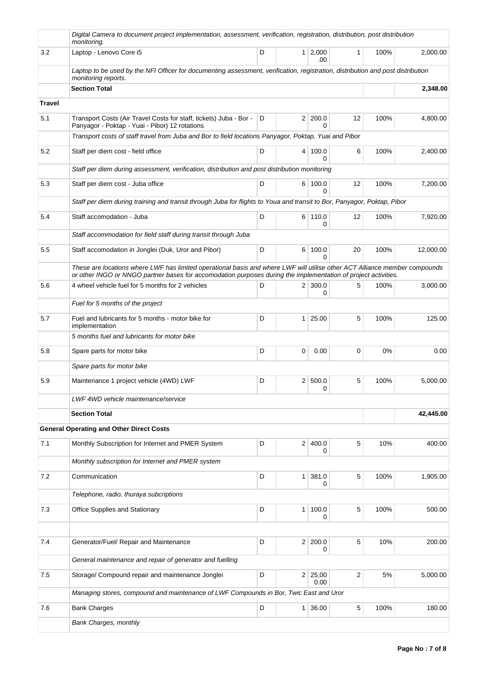|               | Digital Camera to document project implementation, assessment, verification, registration, distribution, post distribution<br>monitoring.                                                                                                    |   |                |                   |              |      |           |
|---------------|----------------------------------------------------------------------------------------------------------------------------------------------------------------------------------------------------------------------------------------------|---|----------------|-------------------|--------------|------|-----------|
| 3.2           | Laptop - Lenovo Core i5                                                                                                                                                                                                                      | D | 1 <sup>1</sup> | 2,000<br>.00      | $\mathbf{1}$ | 100% | 2,000.00  |
|               | Laptop to be used by the NFI Officer for documenting assessment, verification, registration, distribution and post distribution<br>monitoring reports.                                                                                       |   |                |                   |              |      |           |
|               | <b>Section Total</b>                                                                                                                                                                                                                         |   |                |                   |              |      | 2,348.00  |
| <b>Travel</b> |                                                                                                                                                                                                                                              |   |                |                   |              |      |           |
| 5.1           | Transport Costs (Air Travel Costs for staff, tickets) Juba - Bor -<br>Panyagor - Poktap - Yuai - Pibor) 12 rotations                                                                                                                         | D |                | 2 200.0<br>0      | 12           | 100% | 4,800.00  |
|               | Transport costs of staff travel from Juba and Bor to field locations Panyagor, Poktap, Yuai and Pibor                                                                                                                                        |   |                |                   |              |      |           |
| 5.2           | Staff per diem cost - field office                                                                                                                                                                                                           | D |                | 4   100.0<br>0    | 6            | 100% | 2,400.00  |
|               | Staff per diem during assessment, verification, distribution and post distribution monitoring                                                                                                                                                |   |                |                   |              |      |           |
| 5.3           | Staff per diem cost - Juba office                                                                                                                                                                                                            | D |                | 6 100.0<br>U      | 12           | 100% | 7,200.00  |
|               | Staff per diem during training and transit through Juba for flights to Youa and transit to Bor, Panyagor, Poktap, Pibor                                                                                                                      |   |                |                   |              |      |           |
| 5.4           | Staff accomodation - Juba                                                                                                                                                                                                                    | D |                | 6 110.0<br>0      | 12           | 100% | 7,920.00  |
|               | Staff accommodation for field staff during transit through Juba                                                                                                                                                                              |   |                |                   |              |      |           |
| 5.5           | Staff accomodation in Jonglei (Duk, Uror and Pibor)                                                                                                                                                                                          | D | 6              | 100.0<br>$\Omega$ | 20           | 100% | 12,000.00 |
|               | These are locations where LWF has limited operational basis and where LWF will utilise other ACT Alliance member compounds<br>or other INGO or NNGO partner bases for accomodation purposes during the implementation of project activities. |   |                |                   |              |      |           |
| 5.6           | 4 wheel vehicle fuel for 5 months for 2 vehicles                                                                                                                                                                                             | D | 2 <sup>1</sup> | 300.0<br>0        | 5            | 100% | 3,000.00  |
|               | Fuel for 5 months of the project                                                                                                                                                                                                             |   |                |                   |              |      |           |
| 5.7           | Fuel and lubricants for 5 months - motor bike for<br>implementation                                                                                                                                                                          | D | $\mathbf{1}$   | 25.00             | 5            | 100% | 125.00    |
|               | 5 months fuel and lubricants for motor bike                                                                                                                                                                                                  |   |                |                   |              |      |           |
| 5.8           | Spare parts for motor bike                                                                                                                                                                                                                   | D | 0              | 0.00              | $\mathbf 0$  | 0%   | 0.00      |
|               | Spare parts for motor bike                                                                                                                                                                                                                   |   |                |                   |              |      |           |
| 5.9           | Maintenance 1 project vehicle (4WD) LWF                                                                                                                                                                                                      | D | 2 <sup>1</sup> | 500.0<br>0        | 5            | 100% | 5,000.00  |
|               | LWF 4WD vehicle maintenance/service                                                                                                                                                                                                          |   |                |                   |              |      |           |
|               | <b>Section Total</b>                                                                                                                                                                                                                         |   |                |                   |              |      | 42,445.00 |
|               | <b>General Operating and Other Direct Costs</b>                                                                                                                                                                                              |   |                |                   |              |      |           |
| 7.1           | Monthly Subscription for Internet and PMER System                                                                                                                                                                                            | D | 2 <sup>1</sup> | 400.0<br>0        | 5            | 10%  | 400.00    |
|               | Monthly subscription for Internet and PMER system                                                                                                                                                                                            |   |                |                   |              |      |           |
| 7.2           | Communication                                                                                                                                                                                                                                | D | $\mathbf{1}$   | 381.0<br>0        | 5            | 100% | 1,905.00  |
|               | Telephone, radio, thuraya subcriptions                                                                                                                                                                                                       |   |                |                   |              |      |           |
| 7.3           | <b>Office Supplies and Stationary</b>                                                                                                                                                                                                        | D | $\mathbf{1}$   | 100.0<br>0        | 5            | 100% | 500.00    |
|               |                                                                                                                                                                                                                                              |   |                |                   |              |      |           |
| 7.4           | Generator/Fuel/ Repair and Maintenance                                                                                                                                                                                                       | D |                | 2 200.0<br>0      | 5            | 10%  | 200.00    |
|               | General maintenance and repair of generator and fuelling                                                                                                                                                                                     |   |                |                   |              |      |           |
| 7.5           | Storage/ Compound repair and maintenance Jonglei                                                                                                                                                                                             | D | 2              | 25,00<br>0.00     | 2            | 5%   | 5,000.00  |
|               | Managing stores, compound and maintenance of LWF Compounds in Bor, Twic East and Uror                                                                                                                                                        |   |                |                   |              |      |           |
| 7.6           | <b>Bank Charges</b>                                                                                                                                                                                                                          | D | $\mathbf{1}$   | 36.00             | 5            | 100% | 180.00    |
|               | Bank Charges, monthly                                                                                                                                                                                                                        |   |                |                   |              |      |           |